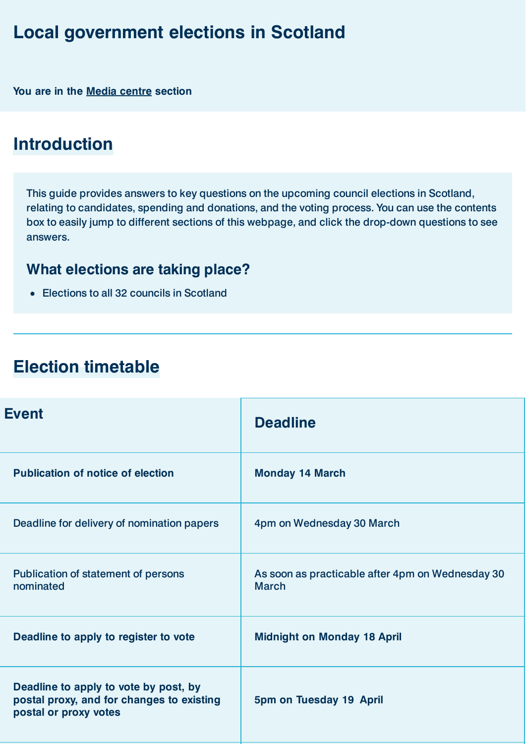# **Local government elections in Scotland**

**You are in the Media [centre](https://www.electoralcommission.org.uk/media-centre) section**

# **Introduction**

This guide provides answers to key questions on the upcoming council elections in Scotland, relating to candidates, spending and donations, and the voting process. You can use the contents box to easily jump to different sections of this webpage, and click the drop-down questions to see answers.

### **What elections are taking place?**

Elections to all 32 councils in Scotland

# **Election timetable**

| <b>Event</b>                                                                                                | <b>Deadline</b>                                                  |
|-------------------------------------------------------------------------------------------------------------|------------------------------------------------------------------|
| <b>Publication of notice of election</b>                                                                    | <b>Monday 14 March</b>                                           |
| Deadline for delivery of nomination papers                                                                  | 4pm on Wednesday 30 March                                        |
| Publication of statement of persons<br>nominated                                                            | As soon as practicable after 4pm on Wednesday 30<br><b>March</b> |
| Deadline to apply to register to vote                                                                       | <b>Midnight on Monday 18 April</b>                               |
| Deadline to apply to vote by post, by<br>postal proxy, and for changes to existing<br>postal or proxy votes | 5pm on Tuesday 19 April                                          |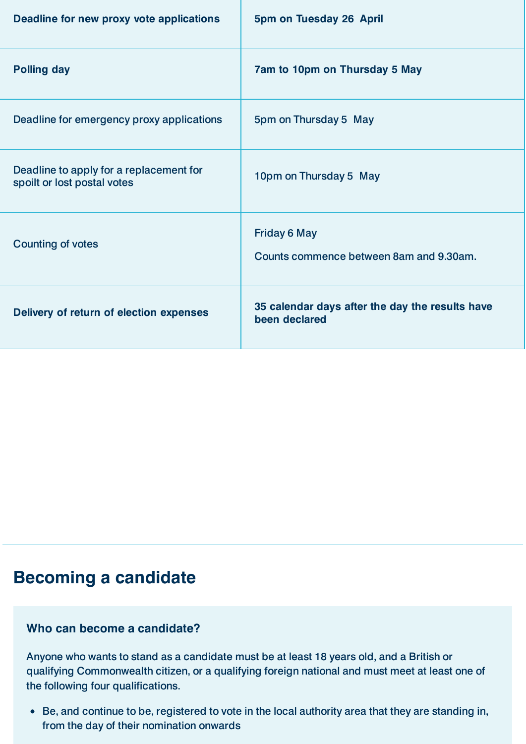| Deadline for new proxy vote applications                               | 5pm on Tuesday 26 April                                          |
|------------------------------------------------------------------------|------------------------------------------------------------------|
| <b>Polling day</b>                                                     | 7am to 10pm on Thursday 5 May                                    |
| Deadline for emergency proxy applications                              | 5pm on Thursday 5 May                                            |
| Deadline to apply for a replacement for<br>spoilt or lost postal votes | 10pm on Thursday 5 May                                           |
| <b>Counting of votes</b>                                               | <b>Friday 6 May</b><br>Counts commence between 8am and 9.30am.   |
| Delivery of return of election expenses                                | 35 calendar days after the day the results have<br>been declared |

# **Becoming a candidate**

#### Who can become a candidate?

Anyone who wants to stand as a candidate must be at least 18 years old, and a British or qualifying Commonwealth citizen, or a qualifying foreign national and must meet at least one of the following four qualifications.

Be, and continue to be, registered to vote in the local authority area that they are standing in, from the day of their nomination onwards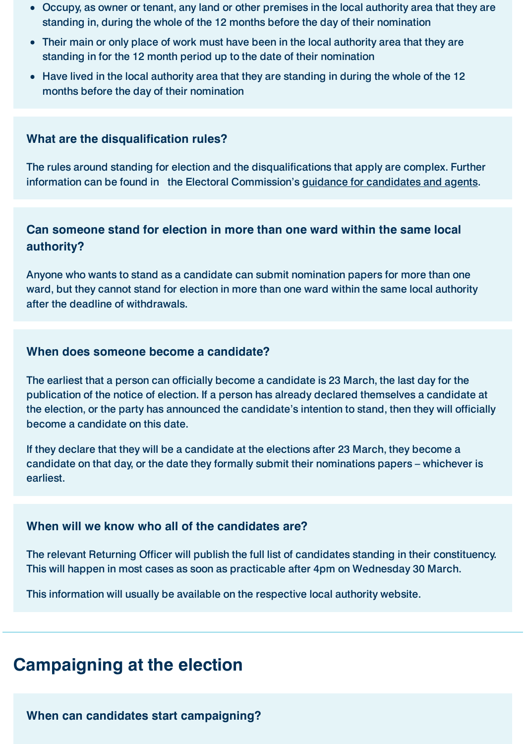- Occupy, as owner or tenant, any land or other premises in the local authority area that they are standing in, during the whole of the 12 months before the day of their nomination
- Their main or only place of work must have been in the local authority area that they are standing in for the 12 month period up to the date of their nomination
- Have lived in the local authority area that they are standing in during the whole of the 12 months before the day of their nomination

#### **What are the disqualification rules?**

The rules around standing for election and the disqualifications that apply are complex. Further information can be found in the Electoral Commission's guidance for [candidates](https://www.electoralcommission.org.uk/sites/default/files/2021-11/SLG%20Part%201%20Can%20you%20stand%20for%20election.pdf) and agents.

#### Can someone stand for election in more than one ward within the same local **authority?**

Anyone who wants to stand as a candidate can submit nomination papers for more than one ward, but they cannot stand for election in more than one ward within the same local authority after the deadline of withdrawals.

#### When does someone become a candidate?

The earliest that a person can officially become a candidate is 23 March, the last day for the publication of the notice of election. If a person has already declared themselves a candidate at the election, or the party has announced the candidate's intention to stand, then they will officially become a candidate on this date.

If they declare that they will be a candidate at the elections after 23 March, they become a candidate on that day, or the date they formally submit their nominations papers – whichever is earliest.

#### When will we know who all of the candidates are?

The relevant Returning Officer will publish the full list of candidates standing in their constituency. This will happen in most cases as soon as practicable after 4pm on Wednesday 30 March.

This information will usually be available on the respective local authority website.

## **Campaigning at the election**

**When can candidates start campaigning?**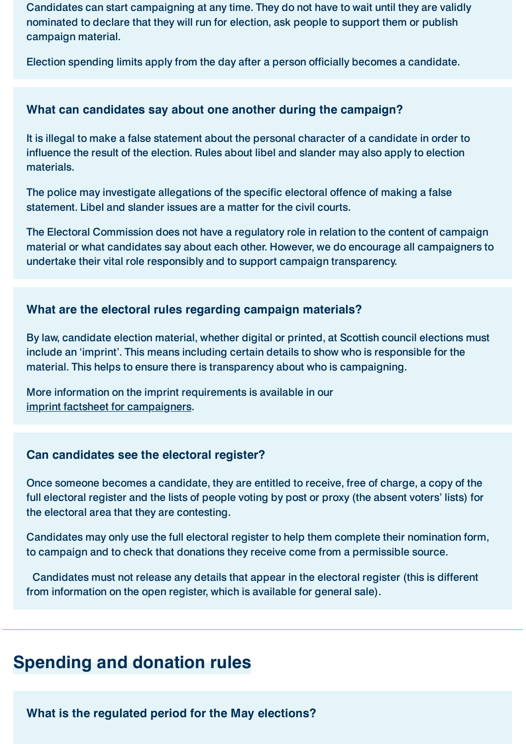Candidates can start campaigning at any time. They do not have to wait until they are validly nominated to declare that they will run for election, ask people to support them or publish campaign material.

Election spending limits apply from the day after a person officially becomes a candidate.

#### What can candidates say about one another during the campaign?

It is illegal to make a false statement about the personal character of a candidate in order to influence the result of the election. Rules about libel and slander may also apply to election materials.

The police may investigate allegations of the specific electoral offence of making a false statement. Libel and slander issues are a matter for the civil courts.

The Electoral Commission does not have a regulatory role in relation to the content of campaign material or what candidates say about each other. However, we do encourage all campaigners to undertake their vital role responsibly and to support campaign transparency.

#### What are the electoral rules regarding campaign materials?

By law, candidate election material, whether digital or printed, at Scottish council elections must include an 'imprint'. This means including certain details to show who is responsible for the material. This helps to ensure there is transparency about who is campaigning.

More information on the imprint requirements is available in our imprint factsheet for [campaigners.](https://www.electoralcommission.org.uk/sites/default/files/2021-08/Digital%20imprints%20factsheet%20candidates%20SP%20July%202021.pdf)

#### **Can candidates see the electoral register?**

Once someone becomes a candidate, they are entitled to receive, free of charge, a copy of the full electoral register and the lists of people voting by post or proxy (the absent voters' lists) for the electoral area that they are contesting.

Candidates may only use the full electoral register to help them complete their nomination form, to campaign and to check that donations they receive come from a permissible source.

Candidates must not release any details that appear in the electoral register (this is different from information on the open register, which is available for general sale).

## **Spending and donation rules**

**What is the regulated period for the May elections?**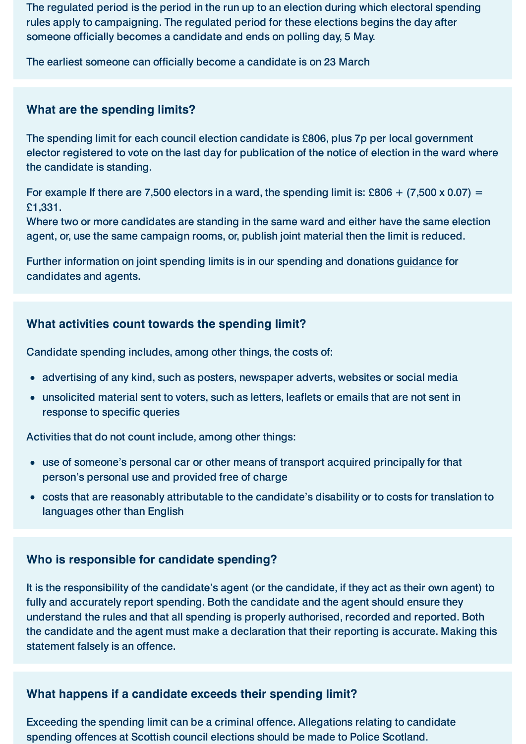The regulated period is the period in the run up to an election during which electoral spending rules apply to campaigning. The regulated period for these elections begins the day after someone officially becomes a candidate and ends on polling day, 5 May.

The earliest someone can officially become a candidate is on 23 March

#### **What are the spending limits?**

The spending limit for each council election candidate is £806, plus 7p per local government elector registered to vote on the last day for publication of the notice of election in the ward where the candidate is standing.

For example If there are 7,500 electors in a ward, the spending limit is: £806 + (7,500 x 0.07) = £1,331.

Where two or more candidates are standing in the same ward and either have the same election agent, or, use the same campaign rooms, or, publish joint material then the limit is reduced.

Further information on joint spending limits is in our spending and donations [guidance](https://www.electoralcommission.org.uk/sites/default/files/2022-02/2022%20Locals%20Scotland%20Part%203%20C%26A%20-%20FINAL%20-%20Feb%2022_0.pdf) for candidates and agents.

#### **What activities count towards the spending limit?**

Candidate spending includes, among other things, the costs of:

- advertising of any kind, such as posters, newspaper adverts, websites or social media
- unsolicited material sent to voters, such as letters, leaflets or emails that are not sent in response to specific queries

Activities that do not count include, among other things:

- use of someone's personal car or other means of transport acquired principally for that person's personal use and provided free of charge
- costs that are reasonably attributable to the candidate's disability or to costs for translation to languages other than English

#### **Who is responsible for candidate spending?**

It is the responsibility of the candidate's agent (or the candidate, if they act as their own agent) to fully and accurately report spending. Both the candidate and the agent should ensure they understand the rules and that all spending is properly authorised, recorded and reported. Both the candidate and the agent must make a declaration that their reporting is accurate. Making this statement falsely is an offence.

#### What happens if a candidate exceeds their spending limit?

Exceeding the spending limit can be a criminal offence. Allegations relating to candidate spending offences at Scottish council elections should be made to Police Scotland.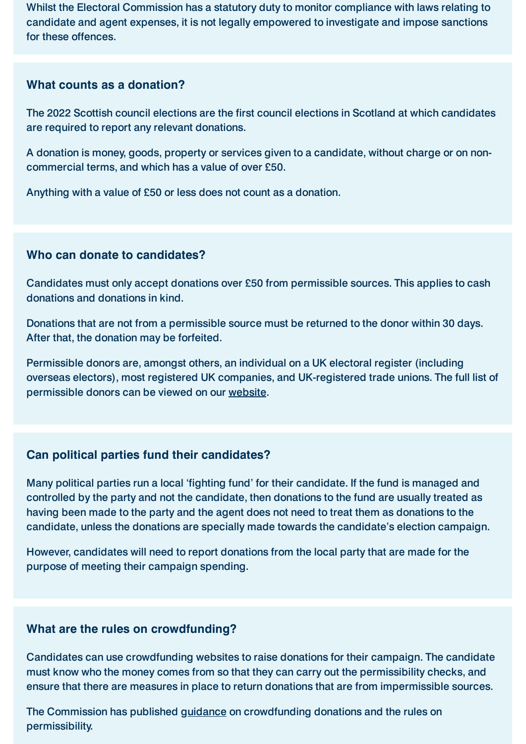Whilst the Electoral Commission has a statutory duty to monitor compliance with laws relating to candidate and agent expenses, it is not legally empowered to investigate and impose sanctions for these offences.

#### **What counts as a donation?**

The 2022 Scottish council elections are the first council elections in Scotland at which candidates are required to report any relevant donations.

A donation is money, goods, property or services given to a candidate, without charge or on noncommercial terms, and which has a value of over £50.

Anything with a value of £50 or less does not count as a donation.

#### **Who can donate to candidates?**

Candidates must only accept donations over £50 from permissible sources. This applies to cash donations and donations in kind.

Donations that are not from a permissible source must be returned to the donor within 30 days. After that, the donation may be forfeited.

Permissible donors are, amongst others, an individual on a UK electoral register (including overseas electors), most registered UK companies, and UK-registered trade unions. The full list of permissible donors can be viewed on our [website.](https://www.electoralcommission.org.uk/who-we-are-and-what-we-do/financial-reporting/donations-and-loans)

#### **Can political parties fund their candidates?**

Many political parties run a local 'fighting fund' for their candidate. If the fund is managed and controlled by the party and not the candidate, then donations to the fund are usually treated as having been made to the party and the agent does not need to treat them as donations to the candidate, unless the donations are specially made towards the candidate's election campaign.

However, candidates will need to report donations from the local party that are made for the purpose of meeting their campaign spending.

#### **What are the rules on crowdfunding?**

Candidates can use crowdfunding websites to raise donations for their campaign. The candidate must know who the money comes from so that they can carry out the permissibility checks, and ensure that there are measures in place to return donations that are from impermissible sources.

The Commission has published [guidance](https://www.electoralcommission.org.uk/media/4371) on crowdfunding donations and the rules on permissibility.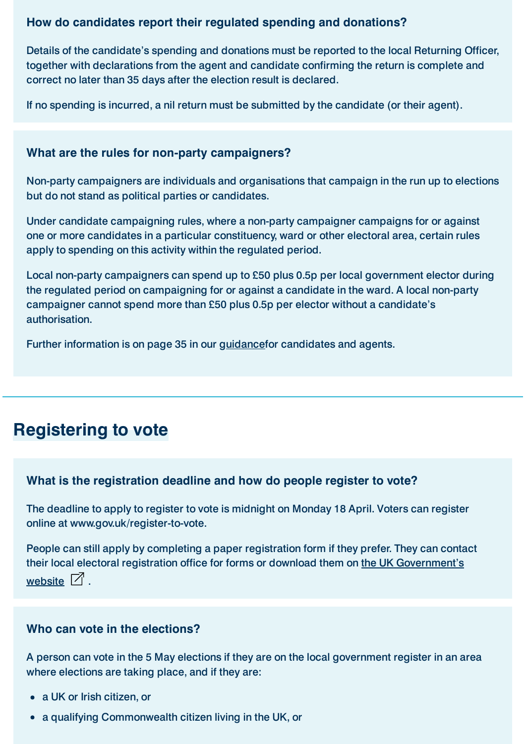#### How do candidates report their regulated spending and donations?

Details of the candidate's spending and donations must be reported to the local Returning Officer, together with declarations from the agent and candidate confirming the return is complete and correct no later than 35 days after the election result is declared.

If no spending is incurred, a nil return must be submitted by the candidate (or their agent).

#### What are the rules for non-party campaigners?

Non-party campaigners are individuals and organisations that campaign in the run up to elections but do not stand as political parties or candidates.

Under candidate campaigning rules, where a non-party campaigner campaigns for or against one or more candidates in a particular constituency, ward or other electoral area, certain rules apply to spending on this activity within the regulated period.

Local non-party campaigners can spend up to £50 plus 0.5p per local government elector during the regulated period on campaigning for or against a candidate in the ward. A local non-party campaigner cannot spend more than £50 plus 0.5p per elector without a candidate's authorisation.

Further information is on page 35 in our [guidance](https://www.electoralcommission.org.uk/sites/default/files/2022-02/2022%20Locals%20Scotland%20Part%203%20C%26A%20-%20FINAL%20-%20Feb%2022_0.pdf)for candidates and agents.

# **Registering to vote**

#### What is the registration deadline and how do people register to vote?

The deadline to apply to register to vote is midnight on Monday 18 April. Voters can register online at www.gov.uk/register-to-vote.

People can still apply by completing a paper registration form if they prefer. They can contact their local electoral registration office for forms or download them on the UK [Government's](https://www.gov.uk/register-to-vote) website  $\overline{\mathcal{A}}$ .

#### **Who can vote in the elections?**

A person can vote in the 5 May elections if they are on the local government register in an area where elections are taking place, and if they are:

- a UK or Irish citizen, or
- a qualifying Commonwealth citizen living in the UK, or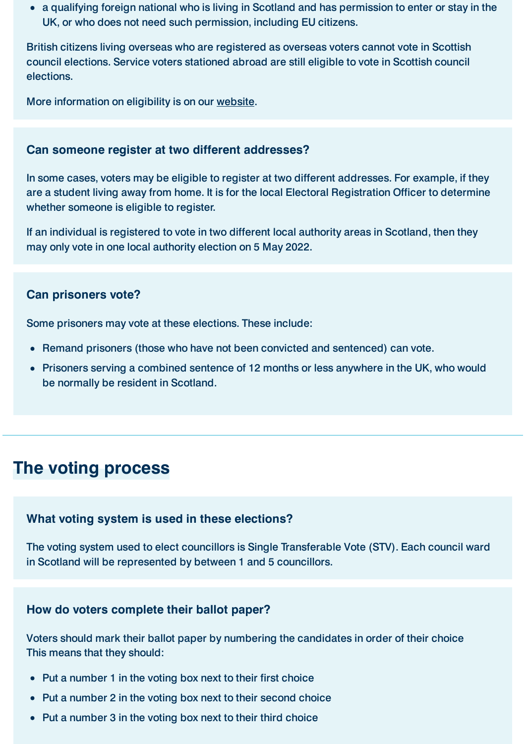a qualifying foreign national who is living in Scotland and has permission to enter or stay in the UK, or who does not need such permission, including EU citizens.

British citizens living overseas who are registered as overseas voters cannot vote in Scottish council elections. Service voters stationed abroad are still eligible to vote in Scottish council elections.

More information on eligibility is on our [website](https://www.electoralcommission.org.uk/media-centre/www.electoralcommission.org.uk/i-am-a/voter.).

#### **Can someone register at two different addresses?**

In some cases, voters may be eligible to register at two different addresses. For example, if they are a student living away from home. It is for the local Electoral Registration Officer to determine whether someone is eligible to register.

If an individual is registered to vote in two different local authority areas in Scotland, then they may only vote in one local authority election on 5 May 2022.

#### **Can prisoners vote?**

Some prisoners may vote at these elections. These include:

- Remand prisoners (those who have not been convicted and sentenced) can vote.
- Prisoners serving a combined sentence of 12 months or less anywhere in the UK, who would be normally be resident in Scotland.

## **The voting process**

#### **What voting system is used in these elections?**

The voting system used to elect councillors is Single Transferable Vote (STV). Each council ward in Scotland will be represented by between 1 and 5 councillors.

#### How do voters complete their ballot paper?

Voters should mark their ballot paper by numbering the candidates in order of their choice This means that they should:

- Put a number 1 in the voting box next to their first choice
- Put a number 2 in the voting box next to their second choice
- Put a number 3 in the voting box next to their third choice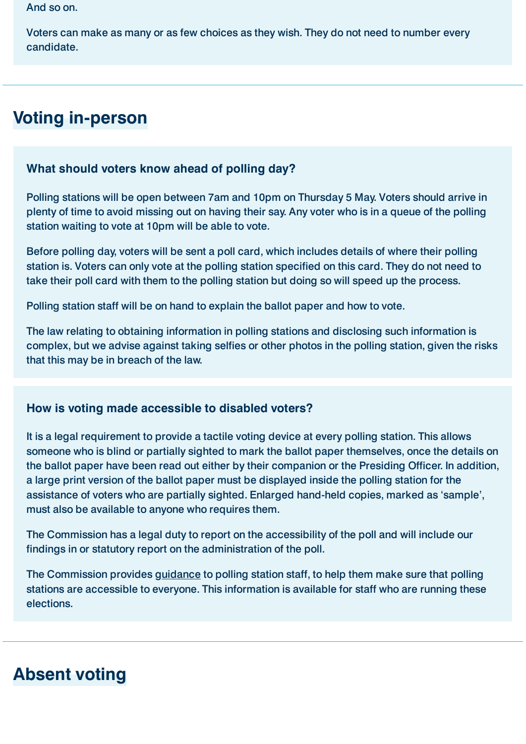And so on.

Voters can make as many or as few choices as they wish. They do not need to number every candidate.

# **Voting in-person**

#### **What should voters know ahead of polling day?**

Polling stations will be open between 7am and 10pm on Thursday 5 May. Voters should arrive in plenty of time to avoid missing out on having their say. Any voter who is in a queue of the polling station waiting to vote at 10pm will be able to vote.

Before polling day, voters will be sent a poll card, which includes details of where their polling station is. Voters can only vote at the polling station specified on this card. They do not need to take their poll card with them to the polling station but doing so will speed up the process.

Polling station staff will be on hand to explain the ballot paper and how to vote.

The law relating to obtaining information in polling stations and disclosing such information is complex, but we advise against taking selfies or other photos in the polling station, given the risks that this may be in breach of the law.

#### How is voting made accessible to disabled voters?

It is a legal requirement to provide a tactile voting device at every polling station. This allows someone who is blind or partially sighted to mark the ballot paper themselves, once the details on the ballot paper have been read out either by their companion or the Presiding Officer. In addition, a large print version of the ballot paper must be displayed inside the polling station for the assistance of voters who are partially sighted. Enlarged hand-held copies, marked as 'sample', must also be available to anyone who requires them.

The Commission has a legal duty to report on the accessibility of the poll and will include our findings in or statutory report on the administration of the poll.

The Commission provides [guidance](https://www.electoralcommission.org.uk/i-am-a/electoral-administrator/returning-officer) to polling station staff, to help them make sure that polling stations are accessible to everyone. This information is available for staff who are running these elections.

# **Absent voting**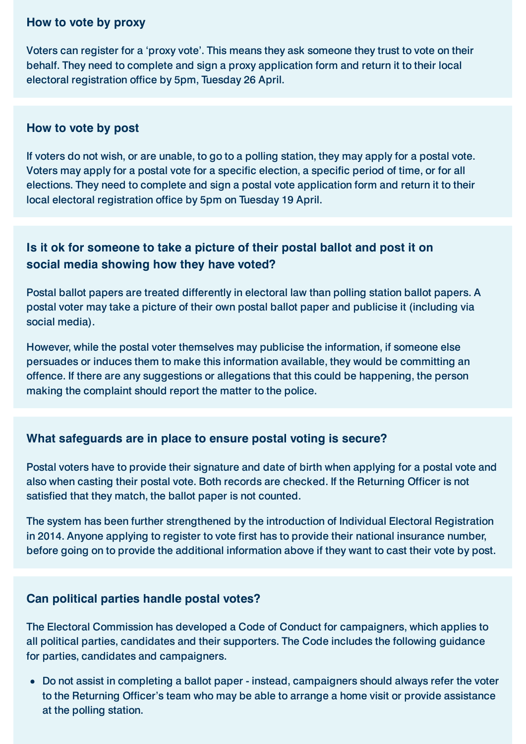#### **How to vote by proxy**

Voters can register for a 'proxy vote'. This means they ask someone they trust to vote on their behalf. They need to complete and sign a proxy application form and return it to their local electoral registration office by 5pm, Tuesday 26 April.

#### **How to vote by post**

If voters do not wish, or are unable, to go to a polling station, they may apply for a postal vote. Voters may apply for a postal vote for a specific election, a specific period of time, or for all elections. They need to complete and sign a postal vote application form and return it to their local electoral registration office by 5pm on Tuesday 19 April.

#### **Is it ok for someone to take a picture of their postal ballot and post it on** social media showing how they have voted?

Postal ballot papers are treated differently in electoral law than polling station ballot papers. A postal voter may take a picture of their own postal ballot paper and publicise it (including via social media).

However, while the postal voter themselves may publicise the information, if someone else persuades or induces them to make this information available, they would be committing an offence. If there are any suggestions or allegations that this could be happening, the person making the complaint should report the matter to the police.

#### What safeguards are in place to ensure postal voting is secure?

Postal voters have to provide their signature and date of birth when applying for a postal vote and also when casting their postal vote. Both records are checked. If the Returning Officer is not satisfied that they match, the ballot paper is not counted.

The system has been further strengthened by the introduction of Individual Electoral Registration in 2014. Anyone applying to register to vote first has to provide their national insurance number, before going on to provide the additional information above if they want to cast their vote by post.

#### **Can political parties handle postal votes?**

The Electoral Commission has developed a Code of Conduct for campaigners, which applies to all political parties, candidates and their supporters. The Code includes the following guidance for parties, candidates and campaigners.

Do not assist in completing a ballot paper - instead, campaigners should always refer the voter to the Returning Officer's team who may be able to arrange a home visit or provide assistance at the polling station.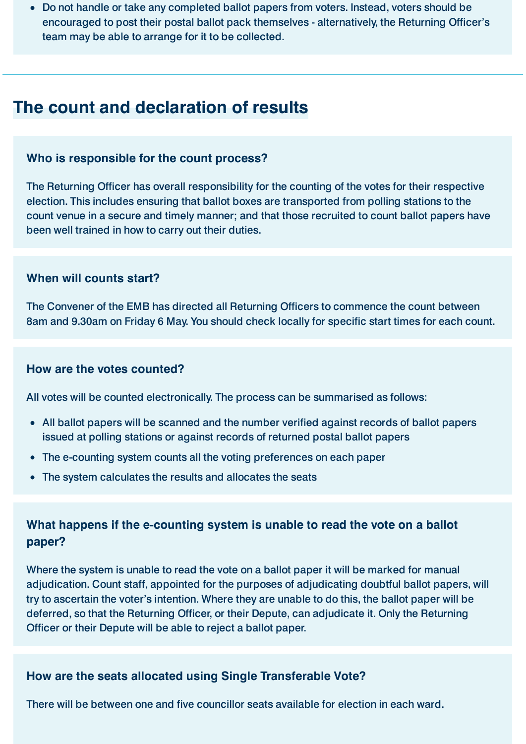• Do not handle or take any completed ballot papers from voters. Instead, voters should be encouraged to post their postal ballot pack themselves - alternatively, the Returning Officer's team may be able to arrange for it to be collected.

### **The count and declaration of results**

#### **Who is responsible for the count process?**

The Returning Officer has overall responsibility for the counting of the votes for their respective election. This includes ensuring that ballot boxes are transported from polling stations to the count venue in a secure and timely manner; and that those recruited to count ballot papers have been well trained in how to carry out their duties.

#### When will counts start?

The Convener of the EMB has directed all Returning Officers to commence the count between 8am and 9.30am on Friday 6 May. You should check locally for specific start times for each count.

#### **How are the votes counted?**

All votes will be counted electronically. The process can be summarised as follows:

- All ballot papers will be scanned and the number verified against records of ballot papers issued at polling stations or against records of returned postal ballot papers
- The e-counting system counts all the voting preferences on each paper
- The system calculates the results and allocates the seats

#### What happens if the e-counting system is unable to read the vote on a ballot paper?

Where the system is unable to read the vote on a ballot paper it will be marked for manual adjudication. Count staff, appointed for the purposes of adjudicating doubtful ballot papers, will try to ascertain the voter's intention. Where they are unable to do this, the ballot paper will be deferred, so that the Returning Officer, or their Depute, can adjudicate it. Only the Returning Officer or their Depute will be able to reject a ballot paper.

#### How are the seats allocated using Single Transferable Vote?

There will be between one and five councillor seats available for election in each ward.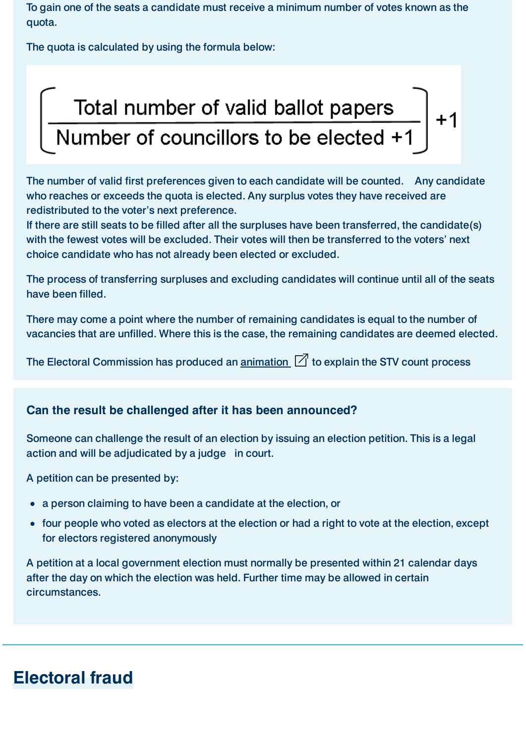To gain one of the seats a candidate must receive a minimum number of votes known as the quota.

The quota is calculated by using the formula below:



The number of valid first preferences given to each candidate will be counted. Any candidate who reaches or exceeds the quota is elected. Any surplus votes they have received are redistributed to the voter's next preference.

If there are still seats to be filled after all the surpluses have been transferred, the candidate(s) with the fewest votes will be excluded. Their votes will then be transferred to the voters' next choice candidate who has not already been elected or excluded.

The process of transferring surpluses and excluding candidates will continue until all of the seats have been filled.

There may come a point where the number of remaining candidates is equal to the number of vacancies that are unfilled. Where this is the case, the remaining candidates are deemed elected.

The Electoral Commission has produced an [animation](https://www.youtube.com/watch?v=M91jraoo6t8)  $\Box$  to explain the STV count process

#### Can the result be challenged after it has been announced?

Someone can challenge the result of an election by issuing an election petition. This is a legal action and will be adjudicated by a judge in court.

A petition can be presented by:

- a person claiming to have been a candidate at the election, or
- four people who voted as electors at the election or had a right to vote at the election, except for electors registered anonymously

A petition at a local government election must normally be presented within 21 calendar days after the day on which the election was held. Further time may be allowed in certain circumstances.

# **Electoral fraud**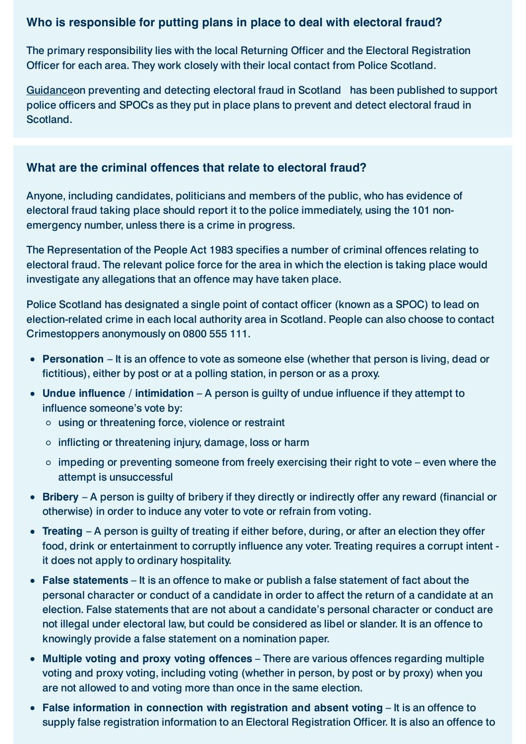#### Who is responsible for putting plans in place to deal with electoral fraud?

The primary responsibility lies with the local Returning Officer and the Electoral Registration Officer for each area. They work closely with their local contact from Police Scotland.

[Guidance](https://www.electoralcommission.org.uk/sites/default/files/pdf_file/FINAL-2017-Guidance-on-preventing-and-detecting-electoral-fraud-in-Scotland.pdf)on preventing and detecting electoral fraud in Scotland has been published to support police officers and SPOCs as they put in place plans to prevent and detect electoral fraud in Scotland.

#### What are the criminal offences that relate to electoral fraud?

Anyone, including candidates, politicians and members of the public, who has evidence of electoral fraud taking place should report it to the police immediately, using the 101 nonemergency number, unless there is a crime in progress.

The Representation of the People Act 1983 specifies a number of criminal offences relating to electoral fraud. The relevant police force for the area in which the election is taking place would investigate any allegations that an offence may have taken place.

Police Scotland has designated a single point of contact officer (known as a SPOC) to lead on election-related crime in each local authority area in Scotland. People can also choose to contact Crimestoppers anonymously on 0800 555 111.

- **Personation** It is an offence to vote as someone else (whether that person is living, dead or fictitious), either by post or at a polling station, in person or as a proxy.
- **Undue influence / intimidation** A person is guilty of undue influence if they attempt to influence someone's vote by:
	- o using or threatening force, violence or restraint
	- $\circ$  inflicting or threatening injury, damage, loss or harm
	- $\circ$  impeding or preventing someone from freely exercising their right to vote even where the attempt is unsuccessful
- **Bribery** A person is guilty of bribery if they directly or indirectly offer any reward (financial or otherwise) in order to induce any voter to vote or refrain from voting.
- **Treating** A person is guilty of treating if either before, during, or after an election they offer food, drink or entertainment to corruptly influence any voter. Treating requires a corrupt intent it does not apply to ordinary hospitality.
- **False statements** It is an offence to make or publish a false statement of fact about the personal character or conduct of a candidate in order to affect the return of a candidate at an election. False statements that are not about a candidate's personal character or conduct are not illegal under electoral law, but could be considered as libel or slander. It is an offence to knowingly provide a false statement on a nomination paper.
- **Multiple voting and proxy voting offences** There are various offences regarding multiple voting and proxy voting, including voting (whether in person, by post or by proxy) when you are not allowed to and voting more than once in the same election.
- **False information in connection with registration and absent voting** It is an offence to supply false registration information to an Electoral Registration Officer. It is also an offence to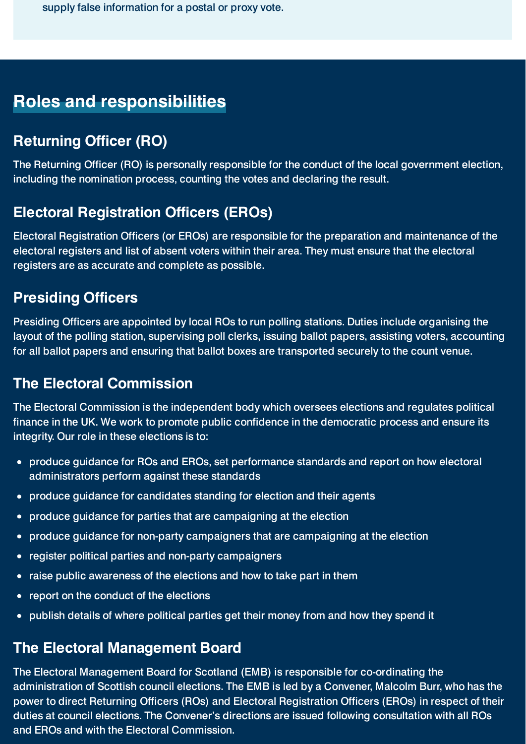supply false information for a postal or proxy vote.

# **Roles and responsibilities**

## **Returning Officer (RO)**

The Returning Officer (RO) is personally responsible for the conduct of the local government election, including the nomination process, counting the votes and declaring the result.

### **Electoral Registration Officers (EROs)**

Electoral Registration Officers (or EROs) are responsible for the preparation and maintenance of the electoral registers and list of absent voters within their area. They must ensure that the electoral registers are as accurate and complete as possible.

### **Presiding Officers**

Presiding Officers are appointed by local ROs to run polling stations. Duties include organising the layout of the polling station, supervising poll clerks, issuing ballot papers, assisting voters, accounting for all ballot papers and ensuring that ballot boxes are transported securely to the count venue.

### **The Electoral Commission**

The Electoral Commission is the independent body which oversees elections and regulates political finance in the UK. We work to promote public confidence in the democratic process and ensure its integrity. Our role in these elections is to:

- produce guidance for ROs and EROs, set performance standards and report on how electoral administrators perform against these standards
- produce guidance for candidates standing for election and their agents
- produce guidance for parties that are campaigning at the election  $\bullet$
- produce guidance for non-party campaigners that are campaigning at the election  $\bullet$
- register political parties and non-party campaigners
- raise public awareness of the elections and how to take part in them
- report on the conduct of the elections  $\bullet$
- publish details of where political parties get their money from and how they spend it

### **The Electoral Management Board**

The Electoral Management Board for Scotland (EMB) is responsible for co-ordinating the administration of Scottish council elections. The EMB is led by a Convener, Malcolm Burr, who has the power to direct Returning Officers (ROs) and Electoral Registration Officers (EROs) in respect of their duties at council elections. The Convener's directions are issued following consultation with all ROs and EROs and with the Electoral Commission.